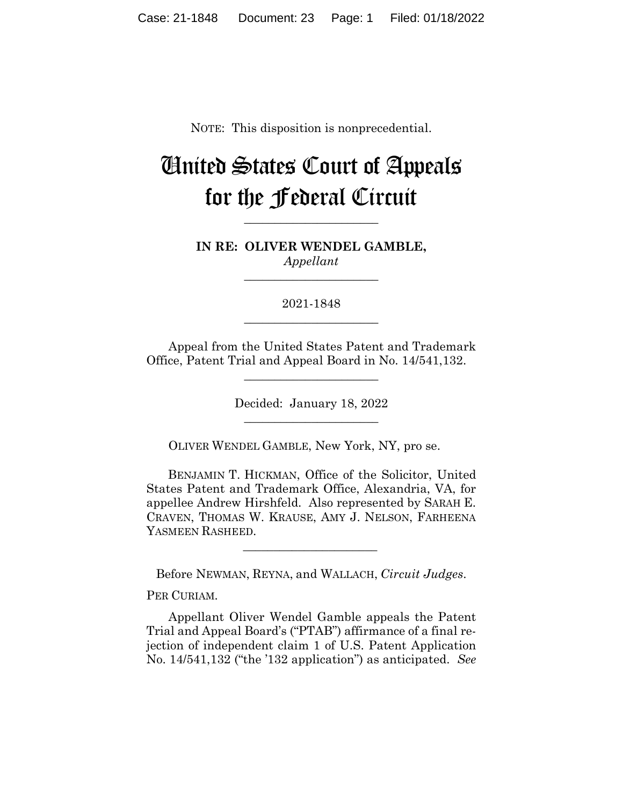NOTE: This disposition is nonprecedential.

# United States Court of Appeals for the Federal Circuit

**IN RE: OLIVER WENDEL GAMBLE,** *Appellant*

**\_\_\_\_\_\_\_\_\_\_\_\_\_\_\_\_\_\_\_\_\_\_** 

**\_\_\_\_\_\_\_\_\_\_\_\_\_\_\_\_\_\_\_\_\_\_** 

2021-1848 **\_\_\_\_\_\_\_\_\_\_\_\_\_\_\_\_\_\_\_\_\_\_** 

Appeal from the United States Patent and Trademark Office, Patent Trial and Appeal Board in No. 14/541,132.

 $\overline{\phantom{a}}$  , where  $\overline{\phantom{a}}$  , where  $\overline{\phantom{a}}$  , where  $\overline{\phantom{a}}$ 

Decided: January 18, 2022  $\overline{\phantom{a}}$  , where  $\overline{\phantom{a}}$  , where  $\overline{\phantom{a}}$  , where  $\overline{\phantom{a}}$ 

OLIVER WENDEL GAMBLE, New York, NY, pro se.

 BENJAMIN T. HICKMAN, Office of the Solicitor, United States Patent and Trademark Office, Alexandria, VA, for appellee Andrew Hirshfeld. Also represented by SARAH E. CRAVEN, THOMAS W. KRAUSE, AMY J. NELSON, FARHEENA YASMEEN RASHEED.

Before NEWMAN, REYNA, and WALLACH, *Circuit Judges*.

 $\mathcal{L}_\text{max}$  and  $\mathcal{L}_\text{max}$  and  $\mathcal{L}_\text{max}$  and  $\mathcal{L}_\text{max}$ 

PER CURIAM*.*

Appellant Oliver Wendel Gamble appeals the Patent Trial and Appeal Board's ("PTAB") affirmance of a final rejection of independent claim 1 of U.S. Patent Application No. 14/541,132 ("the '132 application") as anticipated. *See*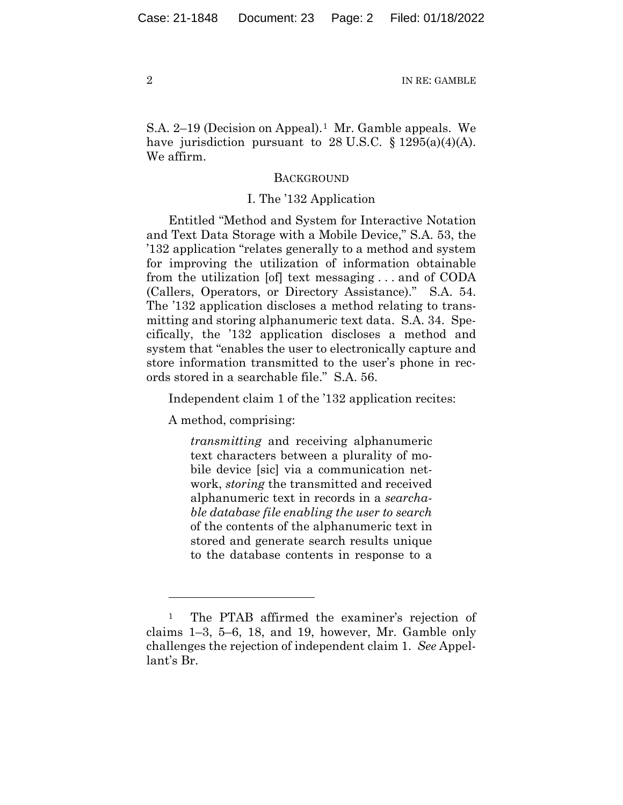S.A. 2–19 (Decision on Appeal).<sup>1</sup> Mr. Gamble appeals. We have jurisdiction pursuant to  $28 \text{ U.S.C. } \S 1295(a)(4)(\text{A}).$ We affirm.

# **BACKGROUND**

#### I. The '132 Application

Entitled "Method and System for Interactive Notation and Text Data Storage with a Mobile Device," S.A. 53, the '132 application "relates generally to a method and system for improving the utilization of information obtainable from the utilization [of] text messaging . . . and of CODA (Callers, Operators, or Directory Assistance)." S.A. 54. The '132 application discloses a method relating to transmitting and storing alphanumeric text data. S.A. 34. Specifically, the '132 application discloses a method and system that "enables the user to electronically capture and store information transmitted to the user's phone in records stored in a searchable file." S.A. 56.

Independent claim 1 of the '132 application recites:

A method, comprising:

*transmitting* and receiving alphanumeric text characters between a plurality of mobile device [sic] via a communication network, *storing* the transmitted and received alphanumeric text in records in a *searchable database file enabling the user to search* of the contents of the alphanumeric text in stored and generate search results unique to the database contents in response to a

<sup>1</sup> The PTAB affirmed the examiner's rejection of claims 1–3, 5–6, 18, and 19, however, Mr. Gamble only challenges the rejection of independent claim 1. *See* Appellant's Br.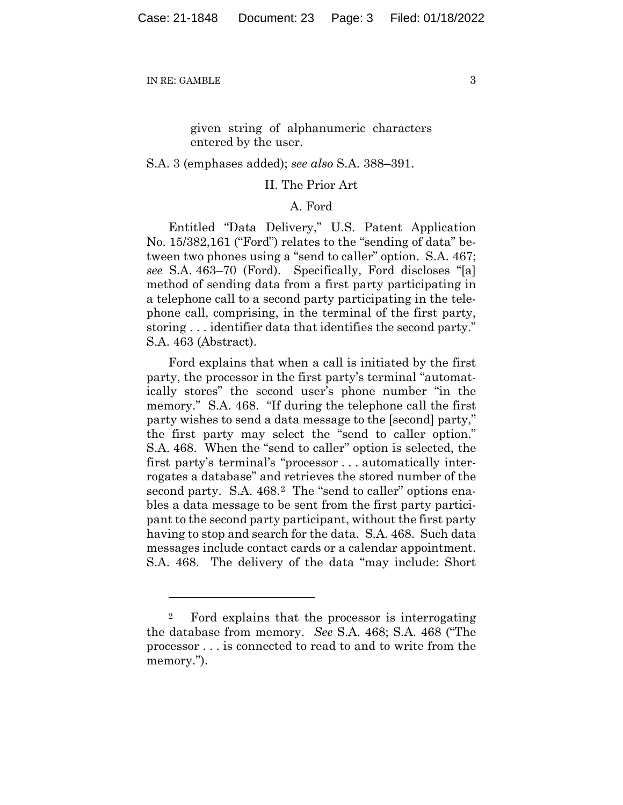given string of alphanumeric characters entered by the user.

#### S.A. 3 (emphases added); *see also* S.A. 388–391.

## II. The Prior Art

# A. Ford

Entitled "Data Delivery," U.S. Patent Application No. 15/382,161 ("Ford") relates to the "sending of data" between two phones using a "send to caller" option. S.A. 467; *see* S.A. 463–70 (Ford). Specifically, Ford discloses "[a] method of sending data from a first party participating in a telephone call to a second party participating in the telephone call, comprising, in the terminal of the first party, storing . . . identifier data that identifies the second party." S.A. 463 (Abstract).

Ford explains that when a call is initiated by the first party, the processor in the first party's terminal "automatically stores" the second user's phone number "in the memory." S.A. 468. "If during the telephone call the first party wishes to send a data message to the [second] party," the first party may select the "send to caller option." S.A. 468. When the "send to caller" option is selected, the first party's terminal's "processor . . . automatically interrogates a database" and retrieves the stored number of the second party. S.A. 468.<sup>2</sup> The "send to caller" options enables a data message to be sent from the first party participant to the second party participant, without the first party having to stop and search for the data. S.A. 468. Such data messages include contact cards or a calendar appointment. S.A. 468. The delivery of the data "may include: Short

<sup>2</sup> Ford explains that the processor is interrogating the database from memory. *See* S.A. 468; S.A. 468 ("The processor . . . is connected to read to and to write from the memory.").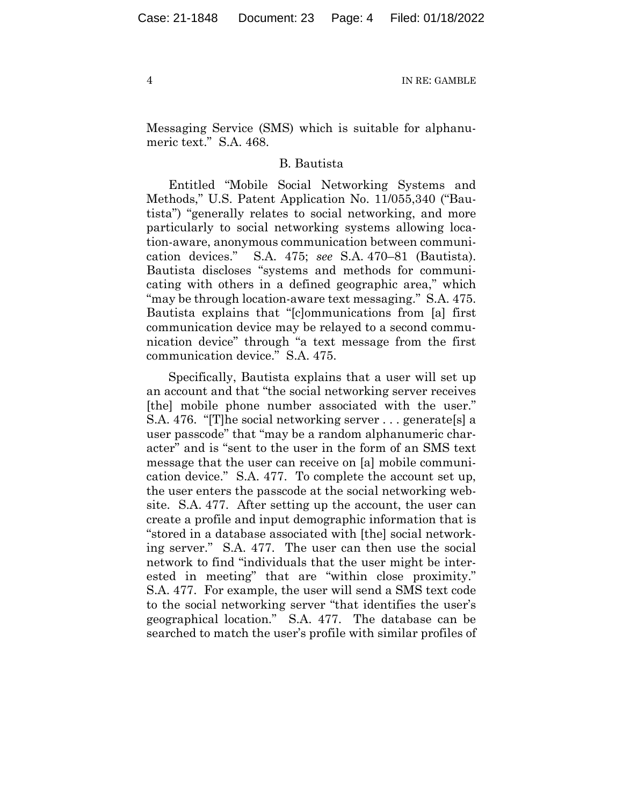Messaging Service (SMS) which is suitable for alphanumeric text." S.A. 468.

## B. Bautista

Entitled "Mobile Social Networking Systems and Methods," U.S. Patent Application No. 11/055,340 ("Bautista") "generally relates to social networking, and more particularly to social networking systems allowing location-aware, anonymous communication between communication devices." S.A. 475; *see* S.A. 470–81 (Bautista). Bautista discloses "systems and methods for communicating with others in a defined geographic area," which "may be through location-aware text messaging." S.A. 475. Bautista explains that "[c]ommunications from [a] first communication device may be relayed to a second communication device" through "a text message from the first communication device." S.A. 475.

Specifically, Bautista explains that a user will set up an account and that "the social networking server receives [the] mobile phone number associated with the user." S.A. 476. "[T]he social networking server . . . generate[s] a user passcode" that "may be a random alphanumeric character" and is "sent to the user in the form of an SMS text message that the user can receive on [a] mobile communication device." S.A. 477. To complete the account set up, the user enters the passcode at the social networking website. S.A. 477. After setting up the account, the user can create a profile and input demographic information that is "stored in a database associated with [the] social networking server." S.A. 477. The user can then use the social network to find "individuals that the user might be interested in meeting" that are "within close proximity." S.A. 477. For example, the user will send a SMS text code to the social networking server "that identifies the user's geographical location." S.A. 477. The database can be searched to match the user's profile with similar profiles of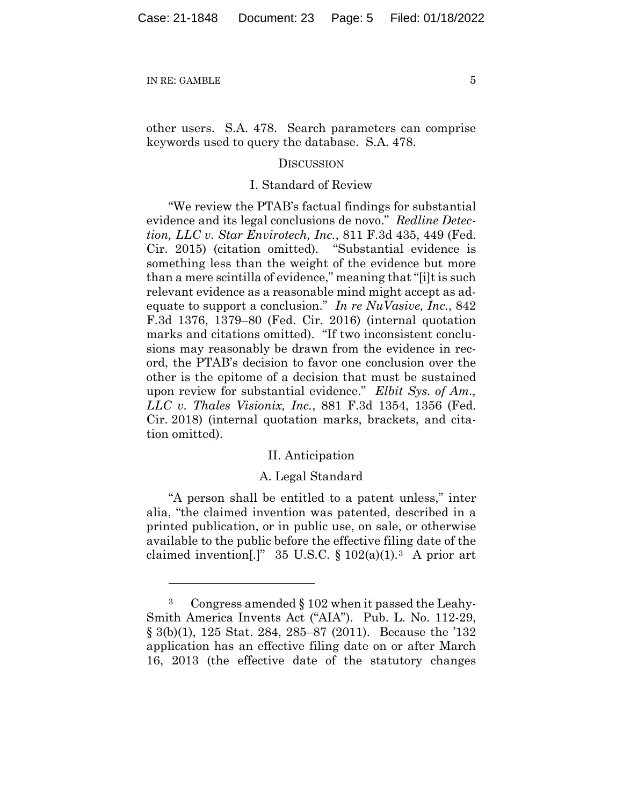other users. S.A. 478. Search parameters can comprise keywords used to query the database. S.A. 478.

#### **DISCUSSION**

## I. Standard of Review

"We review the PTAB's factual findings for substantial evidence and its legal conclusions de novo." *Redline Detection, LLC v. Star Envirotech, Inc.*, 811 F.3d 435, 449 (Fed. Cir. 2015) (citation omitted). "Substantial evidence is something less than the weight of the evidence but more than a mere scintilla of evidence," meaning that "[i]t is such relevant evidence as a reasonable mind might accept as adequate to support a conclusion." *In re NuVasive, Inc.*, 842 F.3d 1376, 1379–80 (Fed. Cir. 2016) (internal quotation marks and citations omitted). "If two inconsistent conclusions may reasonably be drawn from the evidence in record, the PTAB's decision to favor one conclusion over the other is the epitome of a decision that must be sustained upon review for substantial evidence." *Elbit Sys. of Am., LLC v. Thales Visionix, Inc.*, 881 F.3d 1354, 1356 (Fed. Cir. 2018) (internal quotation marks, brackets, and citation omitted).

#### II. Anticipation

## A. Legal Standard

"A person shall be entitled to a patent unless," inter alia, "the claimed invention was patented, described in a printed publication, or in public use, on sale, or otherwise available to the public before the effective filing date of the claimed invention.]" 35 U.S.C.  $\S 102(a)(1)$ .<sup>3</sup> A prior art

<sup>3</sup> Congress amended § 102 when it passed the Leahy-Smith America Invents Act ("AIA"). Pub. L. No. 112-29, § 3(b)(1), 125 Stat. 284, 285–87 (2011). Because the '132 application has an effective filing date on or after March 16, 2013 (the effective date of the statutory changes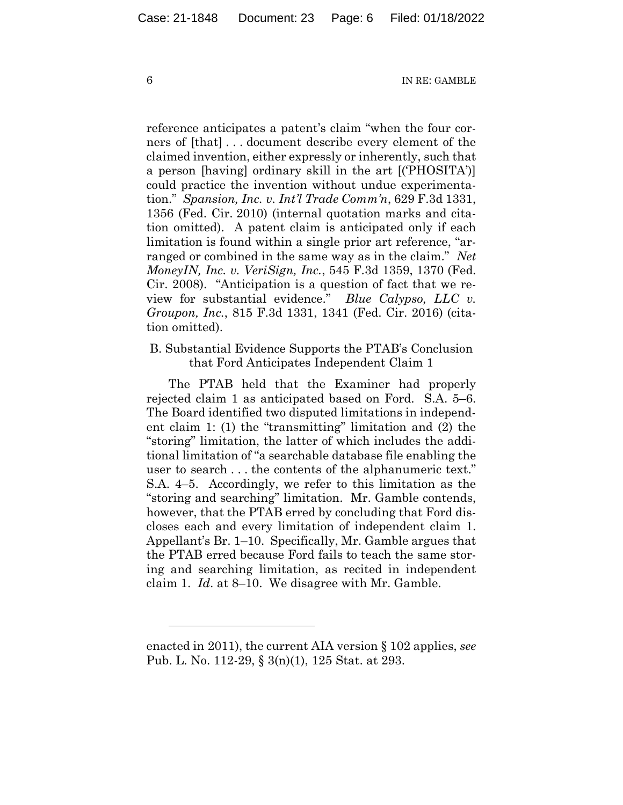reference anticipates a patent's claim "when the four corners of [that] . . . document describe every element of the claimed invention, either expressly or inherently, such that a person [having] ordinary skill in the art [('PHOSITA')] could practice the invention without undue experimentation." *Spansion, Inc. v. Int'l Trade Comm'n*, 629 F.3d 1331, 1356 (Fed. Cir. 2010) (internal quotation marks and citation omitted). A patent claim is anticipated only if each limitation is found within a single prior art reference, "arranged or combined in the same way as in the claim." *Net MoneyIN, Inc. v. VeriSign, Inc.*, 545 F.3d 1359, 1370 (Fed. Cir. 2008). "Anticipation is a question of fact that we review for substantial evidence." *Blue Calypso, LLC v. Groupon, Inc.*, 815 F.3d 1331, 1341 (Fed. Cir. 2016) (citation omitted).

# B. Substantial Evidence Supports the PTAB's Conclusion that Ford Anticipates Independent Claim 1

The PTAB held that the Examiner had properly rejected claim 1 as anticipated based on Ford. S.A. 5–6. The Board identified two disputed limitations in independent claim 1: (1) the "transmitting" limitation and (2) the "storing" limitation, the latter of which includes the additional limitation of "a searchable database file enabling the user to search . . . the contents of the alphanumeric text." S.A. 4–5. Accordingly, we refer to this limitation as the "storing and searching" limitation. Mr. Gamble contends, however, that the PTAB erred by concluding that Ford discloses each and every limitation of independent claim 1. Appellant's Br. 1–10. Specifically, Mr. Gamble argues that the PTAB erred because Ford fails to teach the same storing and searching limitation, as recited in independent claim 1. *Id*. at 8–10. We disagree with Mr. Gamble.

enacted in 2011), the current AIA version § 102 applies, *see*  Pub. L. No. 112-29, § 3(n)(1), 125 Stat. at 293.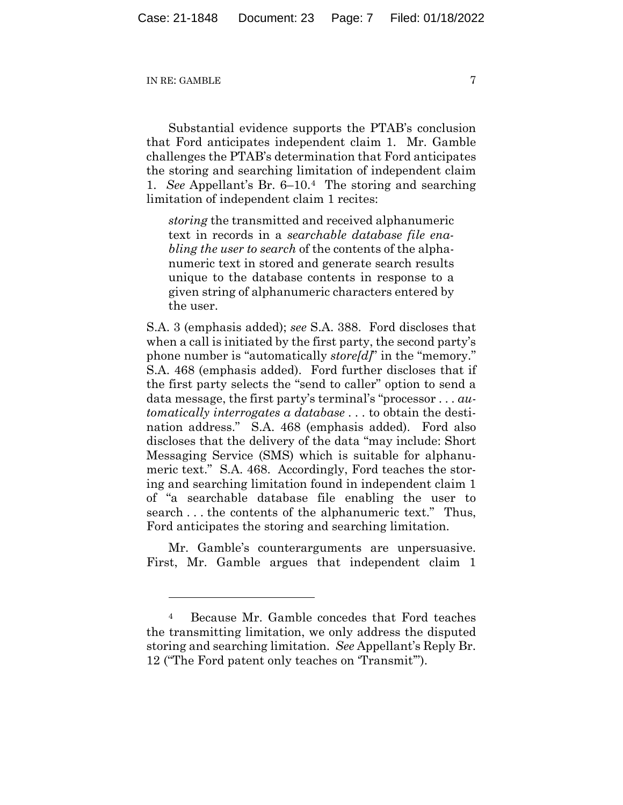Substantial evidence supports the PTAB's conclusion that Ford anticipates independent claim 1. Mr. Gamble challenges the PTAB's determination that Ford anticipates the storing and searching limitation of independent claim 1. *See* Appellant's Br. 6–10.4 The storing and searching limitation of independent claim 1 recites:

*storing* the transmitted and received alphanumeric text in records in a *searchable database file enabling the user to search* of the contents of the alphanumeric text in stored and generate search results unique to the database contents in response to a given string of alphanumeric characters entered by the user.

S.A. 3 (emphasis added); *see* S.A. 388. Ford discloses that when a call is initiated by the first party, the second party's phone number is "automatically *store[d]*" in the "memory." S.A. 468 (emphasis added). Ford further discloses that if the first party selects the "send to caller" option to send a data message, the first party's terminal's "processor . . . *automatically interrogates a database* . . . to obtain the destination address." S.A. 468 (emphasis added). Ford also discloses that the delivery of the data "may include: Short Messaging Service (SMS) which is suitable for alphanumeric text." S.A. 468. Accordingly, Ford teaches the storing and searching limitation found in independent claim 1 of "a searchable database file enabling the user to search . . . the contents of the alphanumeric text." Thus, Ford anticipates the storing and searching limitation.

Mr. Gamble's counterarguments are unpersuasive. First, Mr. Gamble argues that independent claim 1

<sup>4</sup> Because Mr. Gamble concedes that Ford teaches the transmitting limitation, we only address the disputed storing and searching limitation. *See* Appellant's Reply Br. 12 ("The Ford patent only teaches on 'Transmit'").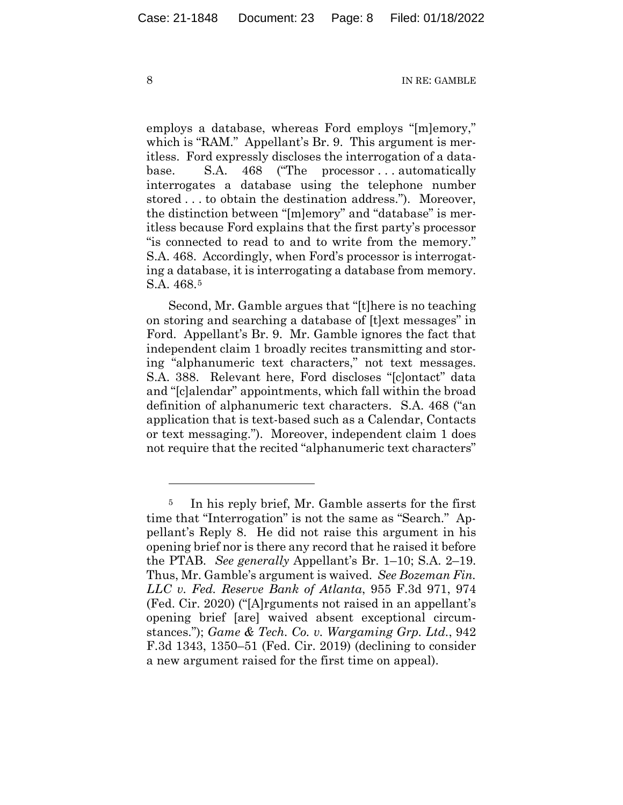employs a database, whereas Ford employs "[m]emory," which is "RAM." Appellant's Br. 9. This argument is meritless. Ford expressly discloses the interrogation of a database. S.A. 468 ("The processor...automatically interrogates a database using the telephone number stored . . . to obtain the destination address."). Moreover, the distinction between "[m]emory" and "database" is meritless because Ford explains that the first party's processor "is connected to read to and to write from the memory." S.A. 468. Accordingly, when Ford's processor is interrogating a database, it is interrogating a database from memory. S.A. 468.5

Second, Mr. Gamble argues that "[t]here is no teaching on storing and searching a database of [t]ext messages" in Ford. Appellant's Br. 9. Mr. Gamble ignores the fact that independent claim 1 broadly recites transmitting and storing "alphanumeric text characters," not text messages. S.A. 388. Relevant here, Ford discloses "[c]ontact" data and "[c]alendar" appointments, which fall within the broad definition of alphanumeric text characters. S.A. 468 ("an application that is text-based such as a Calendar, Contacts or text messaging."). Moreover, independent claim 1 does not require that the recited "alphanumeric text characters"

<sup>5</sup> In his reply brief, Mr. Gamble asserts for the first time that "Interrogation" is not the same as "Search." Appellant's Reply 8. He did not raise this argument in his opening brief nor is there any record that he raised it before the PTAB. *See generally* Appellant's Br. 1–10; S.A. 2–19. Thus, Mr. Gamble's argument is waived. *See Bozeman Fin. LLC v. Fed. Reserve Bank of Atlanta*, 955 F.3d 971, 974 (Fed. Cir. 2020) ("[A]rguments not raised in an appellant's opening brief [are] waived absent exceptional circumstances."); *Game & Tech. Co. v. Wargaming Grp. Ltd.*, 942 F.3d 1343, 1350–51 (Fed. Cir. 2019) (declining to consider a new argument raised for the first time on appeal).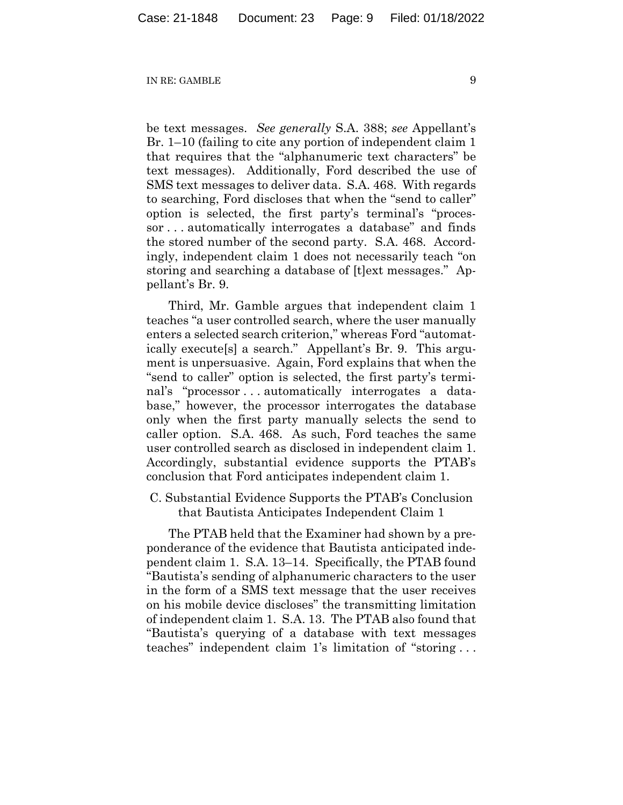be text messages. *See generally* S.A. 388; *see* Appellant's Br. 1–10 (failing to cite any portion of independent claim 1 that requires that the "alphanumeric text characters" be text messages). Additionally, Ford described the use of SMS text messages to deliver data. S.A. 468. With regards to searching, Ford discloses that when the "send to caller" option is selected, the first party's terminal's "processor . . . automatically interrogates a database" and finds the stored number of the second party. S.A. 468. Accordingly, independent claim 1 does not necessarily teach "on storing and searching a database of [t]ext messages." Appellant's Br. 9.

Third, Mr. Gamble argues that independent claim 1 teaches "a user controlled search, where the user manually enters a selected search criterion," whereas Ford "automatically execute[s] a search." Appellant's Br. 9. This argument is unpersuasive. Again, Ford explains that when the "send to caller" option is selected, the first party's terminal's "processor . . . automatically interrogates a database," however, the processor interrogates the database only when the first party manually selects the send to caller option. S.A. 468. As such, Ford teaches the same user controlled search as disclosed in independent claim 1. Accordingly, substantial evidence supports the PTAB's conclusion that Ford anticipates independent claim 1.

C. Substantial Evidence Supports the PTAB's Conclusion that Bautista Anticipates Independent Claim 1

The PTAB held that the Examiner had shown by a preponderance of the evidence that Bautista anticipated independent claim 1. S.A. 13–14. Specifically, the PTAB found "Bautista's sending of alphanumeric characters to the user in the form of a SMS text message that the user receives on his mobile device discloses" the transmitting limitation of independent claim 1. S.A. 13. The PTAB also found that "Bautista's querying of a database with text messages teaches" independent claim 1's limitation of "storing . . .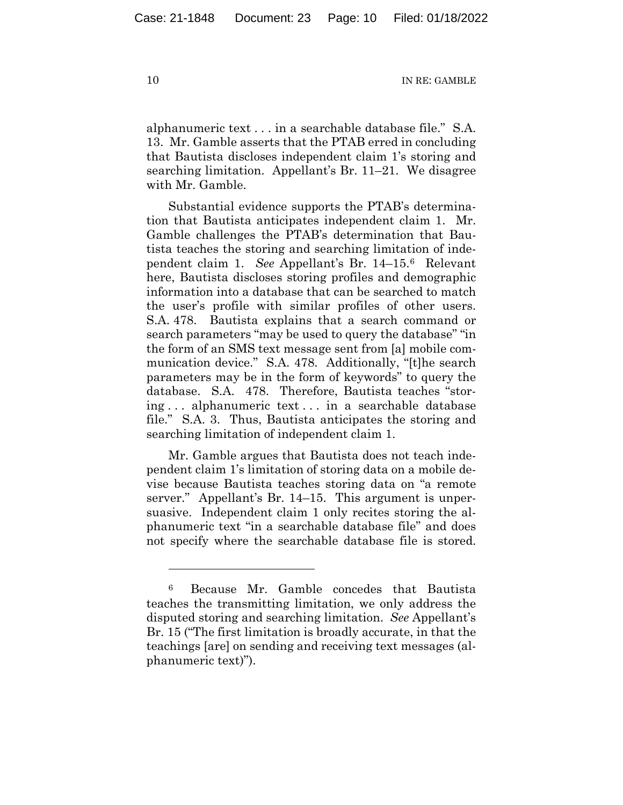alphanumeric text . . . in a searchable database file." S.A. 13. Mr. Gamble asserts that the PTAB erred in concluding that Bautista discloses independent claim 1's storing and searching limitation. Appellant's Br. 11–21. We disagree with Mr. Gamble.

Substantial evidence supports the PTAB's determination that Bautista anticipates independent claim 1. Mr. Gamble challenges the PTAB's determination that Bautista teaches the storing and searching limitation of independent claim 1. *See* Appellant's Br. 14–15.6 Relevant here, Bautista discloses storing profiles and demographic information into a database that can be searched to match the user's profile with similar profiles of other users. S.A. 478. Bautista explains that a search command or search parameters "may be used to query the database" "in the form of an SMS text message sent from [a] mobile communication device." S.A. 478. Additionally, "[t]he search parameters may be in the form of keywords" to query the database. S.A. 478. Therefore, Bautista teaches "storing . . . alphanumeric text . . . in a searchable database file." S.A. 3. Thus, Bautista anticipates the storing and searching limitation of independent claim 1.

Mr. Gamble argues that Bautista does not teach independent claim 1's limitation of storing data on a mobile devise because Bautista teaches storing data on "a remote server." Appellant's Br. 14–15. This argument is unpersuasive. Independent claim 1 only recites storing the alphanumeric text "in a searchable database file" and does not specify where the searchable database file is stored.

<sup>6</sup> Because Mr. Gamble concedes that Bautista teaches the transmitting limitation, we only address the disputed storing and searching limitation. *See* Appellant's Br. 15 ("The first limitation is broadly accurate, in that the teachings [are] on sending and receiving text messages (alphanumeric text)").